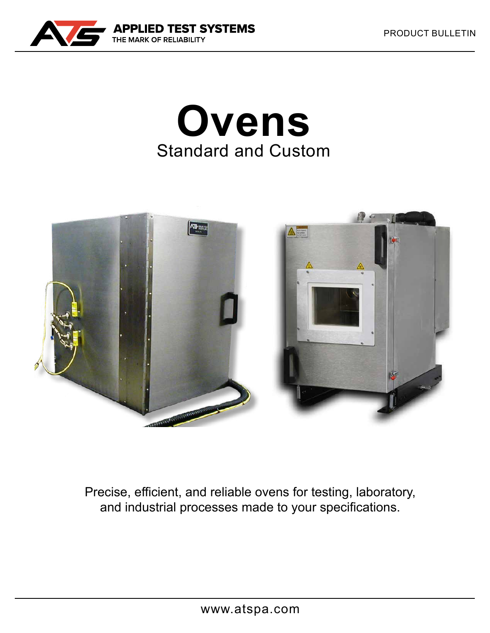

# **Ovens** Standard and Custom



Precise, efficient, and reliable ovens for testing, laboratory, and industrial processes made to your specifications.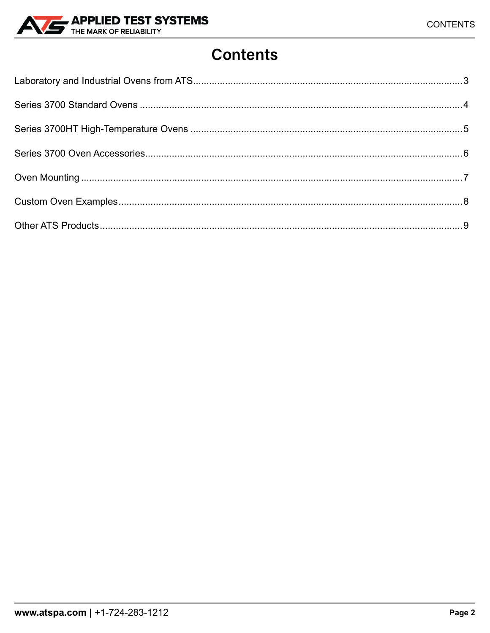

### **Contents**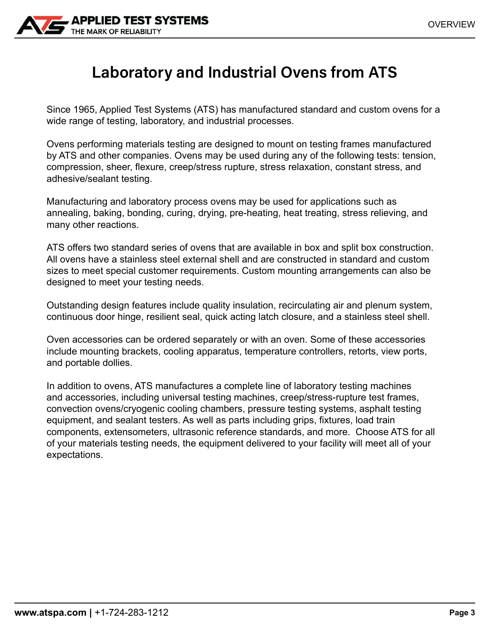<span id="page-2-0"></span>

### **Laboratory and Industrial Ovens from ATS**

Since 1965, Applied Test Systems (ATS) has manufactured standard and custom ovens for a wide range of testing, laboratory, and industrial processes.

Ovens performing materials testing are designed to mount on testing frames manufactured by ATS and other companies. Ovens may be used during any of the following tests: tension, compression, sheer, flexure, creep/stress rupture, stress relaxation, constant stress, and adhesive/sealant testing.

Manufacturing and laboratory process ovens may be used for applications such as annealing, baking, bonding, curing, drying, pre-heating, heat treating, stress relieving, and many other reactions.

ATS offers two standard series of ovens that are available in box and split box construction. All ovens have a stainless steel external shell and are constructed in standard and custom sizes to meet special customer requirements. Custom mounting arrangements can also be designed to meet your testing needs.

Outstanding design features include quality insulation, recirculating air and plenum system, continuous door hinge, resilient seal, quick acting latch closure, and a stainless steel shell.

Oven accessories can be ordered separately or with an oven. Some of these accessories include mounting brackets, cooling apparatus, temperature controllers, retorts, view ports, and portable dollies.

In addition to ovens, ATS manufactures a complete line of laboratory testing machines and accessories, including universal testing machines, creep/stress-rupture test frames, convection ovens/cryogenic cooling chambers, pressure testing systems, asphalt testing equipment, and sealant testers. As well as parts including grips, fixtures, load train components, extensometers, ultrasonic reference standards, and more. Choose ATS for all of your materials testing needs, the equipment delivered to your facility will meet all of your expectations.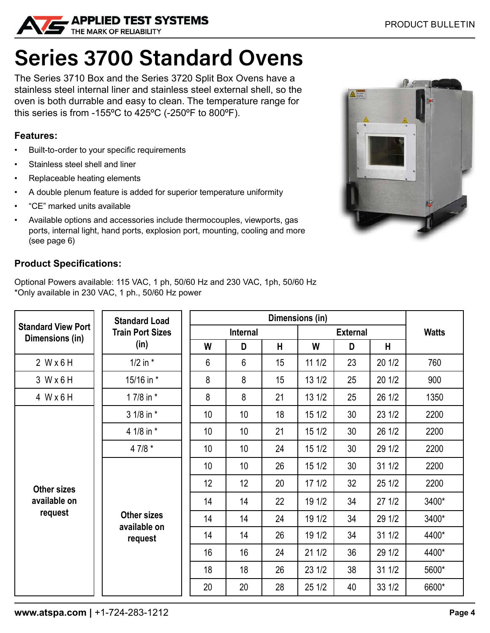<span id="page-3-0"></span>

## **Series 3700 Standard Ovens**

The Series 3710 Box and the Series 3720 Split Box Ovens have a stainless steel internal liner and stainless steel external shell, so the oven is both durrable and easy to clean. The temperature range for this series is from -155°C to 425°C (-250°F to 800°F).

#### **Features:**

- Built-to-order to your specific requirements
- Stainless steel shell and liner
- Replaceable heating elements
- A double plenum feature is added for superior temperature uniformity
- "CE" marked units available
- Available options and accessories include thermocouples, viewports, gas ports, internal light, hand ports, explosion port, mounting, cooling and more (see page 6)

#### **Product Specifications:**

Optional Powers available: 115 VAC, 1 ph, 50/60 Hz and 230 VAC, 1ph, 50/60 Hz \*Only available in 230 VAC, 1 ph., 50/60 Hz power

| <b>Standard View Port</b><br>Dimensions (in)  | <b>Standard Load</b><br><b>Train Port Sizes</b><br>(in) |                 |                 |    |                 |    |        |              |
|-----------------------------------------------|---------------------------------------------------------|-----------------|-----------------|----|-----------------|----|--------|--------------|
|                                               |                                                         | <b>Internal</b> |                 |    | <b>External</b> |    |        | <b>Watts</b> |
|                                               |                                                         | W               | D               | H  | W               | D  | Н      |              |
| 2 Wx6H                                        | $1/2$ in $*$                                            | 6               | 6               | 15 | 111/2           | 23 | 201/2  | 760          |
| 3 Wx6H                                        | 15/16 in *                                              | 8               | 8               | 15 | 13 1/2          | 25 | 20 1/2 | 900          |
| 4 W x 6 H                                     | 1 7/8 in *                                              | 8               | 8               | 21 | 13 1/2          | 25 | 26 1/2 | 1350         |
| <b>Other sizes</b><br>available on<br>request | 3 1/8 in *                                              | 10 <sup>1</sup> | 10 <sup>°</sup> | 18 | 15 1/2          | 30 | 23 1/2 | 2200         |
|                                               | 4 1/8 in *                                              | 10 <sup>1</sup> | 10 <sup>°</sup> | 21 | 15 1/2          | 30 | 26 1/2 | 2200         |
|                                               | 4 7/8 $*$                                               | 10 <sup>1</sup> | 10 <sup>°</sup> | 24 | 15 1/2          | 30 | 29 1/2 | 2200         |
|                                               | <b>Other sizes</b><br>available on<br>request           | 10 <sup>°</sup> | 10 <sup>°</sup> | 26 | 15 1/2          | 30 | 31 1/2 | 2200         |
|                                               |                                                         | 12              | 12              | 20 | 171/2           | 32 | 25 1/2 | 2200         |
|                                               |                                                         | 14              | 14              | 22 | 19 1/2          | 34 | 271/2  | 3400*        |
|                                               |                                                         | 14              | 14              | 24 | 19 1/2          | 34 | 29 1/2 | 3400*        |
|                                               |                                                         | 14              | 14              | 26 | 19 1/2          | 34 | 311/2  | 4400*        |
|                                               |                                                         | 16              | 16              | 24 | 211/2           | 36 | 29 1/2 | 4400*        |
|                                               |                                                         | 18              | 18              | 26 | 23 1/2          | 38 | 31 1/2 | 5600*        |
|                                               |                                                         | 20              | 20              | 28 | 25 1/2          | 40 | 33 1/2 | 6600*        |

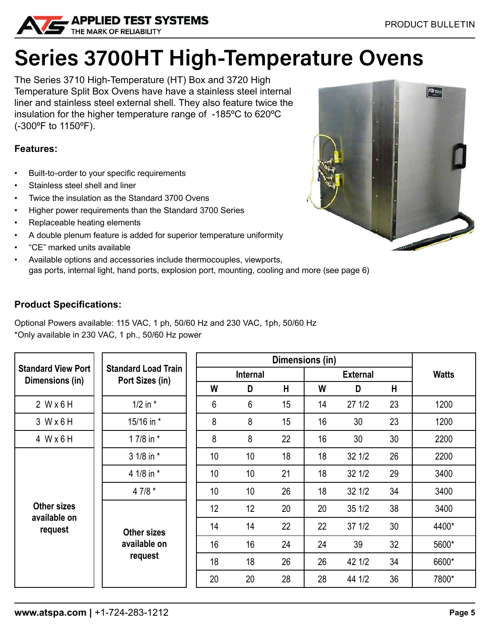<span id="page-4-0"></span>

# **Series 3700HT High-Temperature Ovens**

The Series 3710 High-Temperature (HT) Box and 3720 High Temperature Split Box Ovens have have a stainless steel internal liner and stainless steel external shell. They also feature twice the insulation for the higher temperature range of -185ºC to 620ºC (-300ºF to 1150ºF).

#### **Features:**

- Built-to-order to your specific requirements
- Stainless steel shell and liner
- Twice the insulation as the Standard 3700 Ovens
- Higher power requirements than the Standard 3700 Series
- Replaceable heating elements
- A double plenum feature is added for superior temperature uniformity
- "CE" marked units available
- Available options and accessories include thermocouples, viewports,
- gas ports, internal light, hand ports, explosion port, mounting, cooling and more (see page 6)

#### **Product Specifications:**

Optional Powers available: 115 VAC, 1 ph, 50/60 Hz and 230 VAC, 1ph, 50/60 Hz \*Only available in 230 VAC, 1 ph., 50/60 Hz power

| <b>Standard View Port</b><br>Dimensions (in) | <b>Standard Load Train</b><br>Port Sizes (in) |          |                 |    |                 |        |    |              |
|----------------------------------------------|-----------------------------------------------|----------|-----------------|----|-----------------|--------|----|--------------|
|                                              |                                               | Internal |                 |    | <b>External</b> |        |    | <b>Watts</b> |
|                                              |                                               | W        | D               | H  | W               | D      | H  |              |
| 2 Wx6H                                       | $1/2$ in $*$                                  | 6        | 6               | 15 | 14              | 271/2  | 23 | 1200         |
| 3 Wx6H                                       | 15/16 in *                                    | 8        | 8               | 15 | 16              | 30     | 23 | 1200         |
| 4 Wx6H                                       | 1 7/8 in *                                    | 8        | 8               | 22 | 16              | 30     | 30 | 2200         |
| Other sizes<br>available on<br>request       | 3 1/8 in *                                    | 10       | 10              | 18 | 18              | 32 1/2 | 26 | 2200         |
|                                              | 4 1/8 in *                                    | 10       | 10              | 21 | 18              | 32 1/2 | 29 | 3400         |
|                                              | $47/8*$                                       | 10       | 10 <sup>1</sup> | 26 | 18              | 32 1/2 | 34 | 3400         |
|                                              | <b>Other sizes</b><br>available on<br>request | 12       | 12              | 20 | 20              | 351/2  | 38 | 3400         |
|                                              |                                               | 14       | 14              | 22 | 22              | 371/2  | 30 | 4400*        |
|                                              |                                               | 16       | 16              | 24 | 24              | 39     | 32 | 5600*        |
|                                              |                                               | 18       | 18              | 26 | 26              | 42 1/2 | 34 | 6600*        |
|                                              |                                               | 20       | 20              | 28 | 28              | 44 1/2 | 36 | 7800*        |

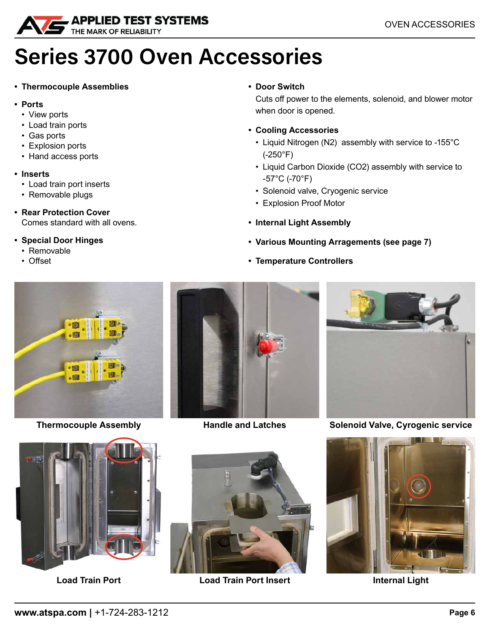<span id="page-5-0"></span>

### **Series 3700 Oven Accessories**

#### **• Thermocouple Assemblies**

- **• Ports**
	- View ports
	- Load train ports
	- Gas ports
	- Explosion ports
	- Hand access ports
- **• Inserts**
	- Load train port inserts
	- Removable plugs
- **• Rear Protection Cover** Comes standard with all ovens.

#### **• Special Door Hinges**

- Removable
- Offset

#### **• Door Switch**

Cuts off power to the elements, solenoid, and blower motor when door is opened.

- **• Cooling Accessories**
	- Liquid Nitrogen (N2) assembly with service to -155°C (-250°F)
	- Liquid Carbon Dioxide (CO2) assembly with service to -57°C (-70°F)
	- Solenoid valve, Cryogenic service
	- Explosion Proof Motor
- **• Internal Light Assembly**
- **• Various Mounting Arragements (see page 7)**
- **• Temperature Controllers**



**Thermocouple Assembly 6.1 Handle and Latches** 





**Solenoid Valve, Cyrogenic service**





**Load Train Port Insert Load Train Port Internal Light**

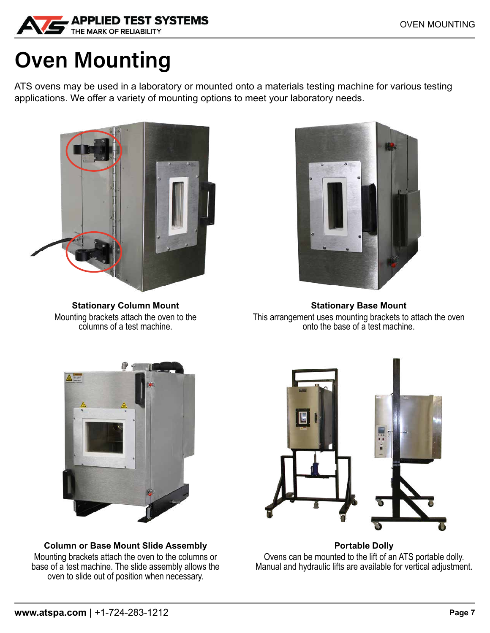<span id="page-6-0"></span>

## **Oven Mounting**

ATS ovens may be used in a laboratory or mounted onto a materials testing machine for various testing applications. We offer a variety of mounting options to meet your laboratory needs.



**Stationary Column Mount** Mounting brackets attach the oven to the columns of a test machine.



**Stationary Base Mount** This arrangement uses mounting brackets to attach the oven onto the base of a test machine.



**Column or Base Mount Slide Assembly** Mounting brackets attach the oven to the columns or base of a test machine. The slide assembly allows the oven to slide out of position when necessary.



**Portable Dolly** Ovens can be mounted to the lift of an ATS portable dolly. Manual and hydraulic lifts are available for vertical adjustment.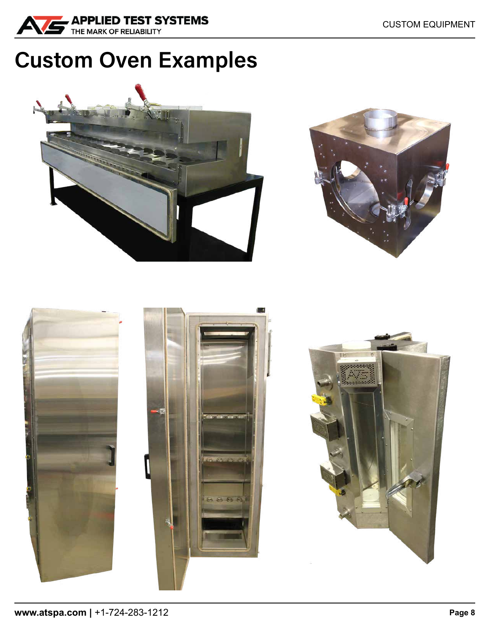<span id="page-7-0"></span>

## **Custom Oven Examples**